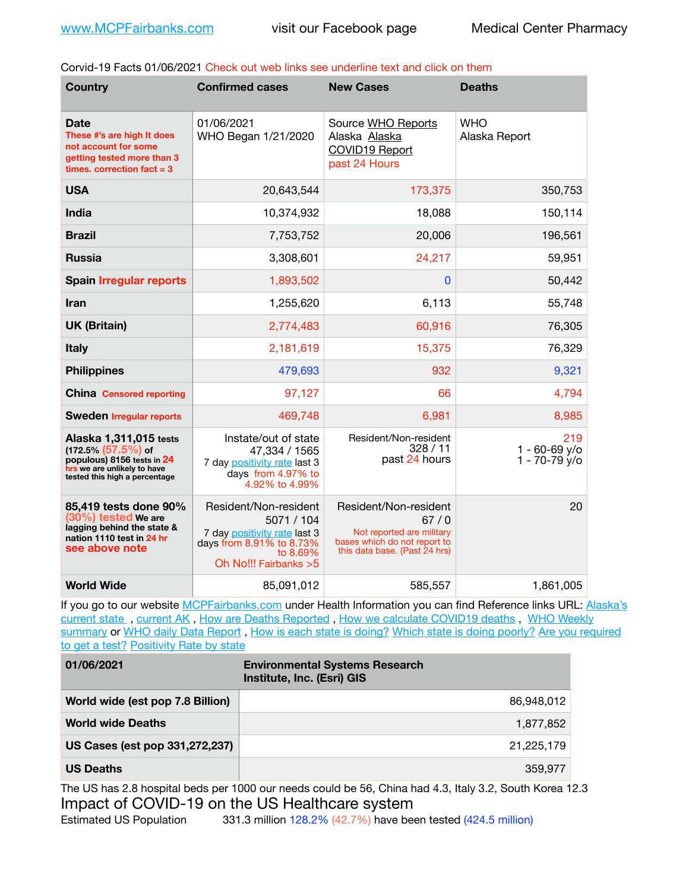Corvid-19 Facts 01/06/2021 Check out web links see underline text and click on them

| <b>Country</b>                                                                                                                                 | <b>Confirmed cases</b>                                                                                                               | <b>New Cases</b>                                                                                                            | <b>Deaths</b>                             |
|------------------------------------------------------------------------------------------------------------------------------------------------|--------------------------------------------------------------------------------------------------------------------------------------|-----------------------------------------------------------------------------------------------------------------------------|-------------------------------------------|
| Date<br>These #'s are high It does<br>not account for some<br>getting tested more than 3<br>times, correction fact $= 3$                       | 01/06/2021<br>WHO Began 1/21/2020                                                                                                    | Source WHO Reports<br>Alaska Alaska<br><b>COVID19 Report</b><br>past 24 Hours                                               | <b>WHO</b><br>Alaska Report               |
| <b>USA</b>                                                                                                                                     | 20,643,544                                                                                                                           | 173,375                                                                                                                     | 350,753                                   |
| India                                                                                                                                          | 10,374,932                                                                                                                           | 18,088                                                                                                                      | 150,114                                   |
| <b>Brazil</b>                                                                                                                                  | 7,753,752                                                                                                                            | 20,006                                                                                                                      | 196,561                                   |
| <b>Russia</b>                                                                                                                                  | 3,308,601                                                                                                                            | 24,217                                                                                                                      | 59,951                                    |
| <b>Spain Irregular reports</b>                                                                                                                 | 1,893,502                                                                                                                            | $\mathbf{0}$                                                                                                                | 50,442                                    |
| <b>Iran</b>                                                                                                                                    | 1,255,620                                                                                                                            | 6,113                                                                                                                       | 55,748                                    |
| <b>UK (Britain)</b>                                                                                                                            | 2,774,483                                                                                                                            | 60,916                                                                                                                      | 76,305                                    |
| <b>Italy</b>                                                                                                                                   | 2,181,619                                                                                                                            | 15,375                                                                                                                      | 76,329                                    |
| <b>Philippines</b>                                                                                                                             | 479,693                                                                                                                              | 932                                                                                                                         | 9,321                                     |
| <b>China</b> Censored reporting                                                                                                                | 97,127                                                                                                                               | 66                                                                                                                          | 4,794                                     |
| <b>Sweden Irregular reports</b>                                                                                                                | 469,748                                                                                                                              | 6,981                                                                                                                       | 8,985                                     |
| Alaska 1,311,015 tests<br>$(172.5\%)(57.5\%)$ of<br>populous) 8156 tests in 24<br>hrs we are unlikely to have<br>tested this high a percentage | Instate/out of state<br>47,334 / 1565<br>7 day positivity rate last 3<br>days from 4.97% to<br>4.92% to 4.99%                        | Resident/Non-resident<br>328/11<br>past 24 hours                                                                            | 219<br>$1 - 60 - 69$ y/o<br>1 - 70-79 y/o |
| 85,419 tests done 90%<br>$(30\%)$ tested We are<br>lagging behind the state &<br>nation 1110 test in 24 hr<br>see above note                   | Resident/Non-resident<br>5071 / 104<br>7 day positivity rate last 3<br>days from 8.91% to 8.73%<br>to 8.69%<br>Oh No!!! Fairbanks >5 | Resident/Non-resident<br>67/0<br>Not reported are military<br>bases which do not report to<br>this data base. {Past 24 hrs) | 20                                        |
| <b>World Wide</b>                                                                                                                              | 85,091,012                                                                                                                           | 585,557                                                                                                                     | 1,861,005                                 |

If you go to our website [MCPFairbanks.com](http://www.MCPFairbanks.com) under Health Information you can find Reference links URL: Alaska's [current state](https://coronavirus-response-alaska-dhss.hub.arcgis.com) , [current AK](http://dhss.alaska.gov/dph/Epi/id/Pages/COVID-19/communications.aspx#cases) , [How are Deaths Reported](http://dhss.alaska.gov/dph/Epi/id/Pages/COVID-19/deathcounts.aspx) , [How we calculate COVID19 deaths](https://coronavirus-response-alaska-dhss.hub.arcgis.com/search?collection=Document&groupIds=41ccb3344ebc4bd682c74073eba21f42) , [WHO Weekly](http://www.who.int)  [summary](http://www.who.int) or [WHO daily Data Report](https://covid19.who.int/table), [How is each state is doing?](https://www.msn.com/en-us/news/us/state-by-state-coronavirus-news/ar-BB13E1PX?fbclid=IwAR0_OBJH7lSyTN3ug_MsOeFnNgB1orTa9OBgilKJ7dhnwlVvHEsptuKkj1c) [Which state is doing poorly?](https://bestlifeonline.com/covid-outbreak-your-state/?utm_source=nsltr&utm_medium=email&utm_content=covid-outbreak-your-state&utm_campaign=launch) Are you required [to get a test?](http://dhss.alaska.gov/dph/Epi/id/SiteAssets/Pages/HumanCoV/Whattodoafteryourtest.pdf) [Positivity Rate by state](https://coronavirus.jhu.edu/testing/individual-states/alaska)

| 01/06/2021                       | <b>Environmental Systems Research</b><br>Institute, Inc. (Esri) GIS |
|----------------------------------|---------------------------------------------------------------------|
| World wide (est pop 7.8 Billion) | 86,948,012                                                          |
| <b>World wide Deaths</b>         | 1,877,852                                                           |
| US Cases (est pop 331,272,237)   | 21,225,179                                                          |
| <b>US Deaths</b>                 | 359.977                                                             |

The US has 2.8 hospital beds per 1000 our needs could be 56, China had 4.3, Italy 3.2, South Korea 12.3 Impact of COVID-19 on the US Healthcare system<br>Estimated US Population 331.3 million 128.2% (42.7%) have been 331.3 million 128.2% (42.7%) have been tested (424.5 million)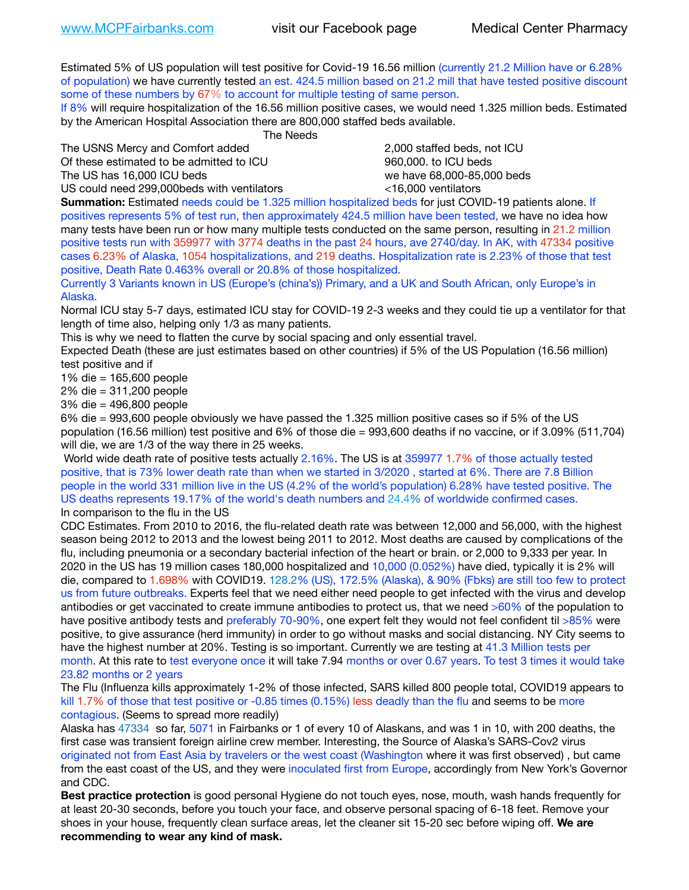Estimated 5% of US population will test positive for Covid-19 16.56 million (currently 21.2 Million have or 6.28% of population) we have currently tested an est. 424.5 million based on 21.2 mill that have tested positive discount some of these numbers by 67% to account for multiple testing of same person.

If 8% will require hospitalization of the 16.56 million positive cases, we would need 1.325 million beds. Estimated by the American Hospital Association there are 800,000 staffed beds available. 

 The Needs

The USNS Mercy and Comfort added 2,000 staffed beds, not ICU Of these estimated to be admitted to ICU 860,000. to ICU beds

US could need 299,000 beds with ventilators  $\leq$ 16,000 ventilators

The US has 16,000 ICU beds we have 68,000-85,000 beds

**Summation:** Estimated needs could be 1.325 million hospitalized beds for just COVID-19 patients alone. If positives represents 5% of test run, then approximately 424.5 million have been tested, we have no idea how many tests have been run or how many multiple tests conducted on the same person, resulting in 21.2 million positive tests run with 359977 with 3774 deaths in the past 24 hours, ave 2740/day. In AK, with 47334 positive cases 6.23% of Alaska, 1054 hospitalizations, and 219 deaths. Hospitalization rate is 2.23% of those that test positive, Death Rate 0.463% overall or 20.8% of those hospitalized.

Currently 3 Variants known in US (Europe's (china's)) Primary, and a UK and South African, only Europe's in Alaska.

Normal ICU stay 5-7 days, estimated ICU stay for COVID-19 2-3 weeks and they could tie up a ventilator for that length of time also, helping only 1/3 as many patients.

This is why we need to flatten the curve by social spacing and only essential travel.

Expected Death (these are just estimates based on other countries) if 5% of the US Population (16.56 million) test positive and if

1% die = 165,600 people

2% die = 311,200 people

3% die = 496,800 people

6% die = 993,600 people obviously we have passed the 1.325 million positive cases so if 5% of the US population (16.56 million) test positive and 6% of those die = 993,600 deaths if no vaccine, or if 3.09% (511,704) will die, we are 1/3 of the way there in 25 weeks.

 World wide death rate of positive tests actually 2.16%. The US is at 359977 1.7% of those actually tested positive, that is 73% lower death rate than when we started in 3/2020 , started at 6%. There are 7.8 Billion people in the world 331 million live in the US (4.2% of the world's population) 6.28% have tested positive. The US deaths represents 19.17% of the world's death numbers and 24.4% of worldwide confirmed cases. In comparison to the flu in the US

CDC Estimates. From 2010 to 2016, the flu-related death rate was between 12,000 and 56,000, with the highest season being 2012 to 2013 and the lowest being 2011 to 2012. Most deaths are caused by complications of the flu, including pneumonia or a secondary bacterial infection of the heart or brain. or 2,000 to 9,333 per year. In 2020 in the US has 19 million cases 180,000 hospitalized and 10,000 (0.052%) have died, typically it is 2% will die, compared to 1.698% with COVID19. 128.2% (US), 172.5% (Alaska), & 90% (Fbks) are still too few to protect us from future outbreaks. Experts feel that we need either need people to get infected with the virus and develop antibodies or get vaccinated to create immune antibodies to protect us, that we need >60% of the population to have positive antibody tests and preferably 70-90%, one expert felt they would not feel confident til >85% were positive, to give assurance (herd immunity) in order to go without masks and social distancing. NY City seems to have the highest number at 20%. Testing is so important. Currently we are testing at 41.3 Million tests per month. At this rate to test everyone once it will take 7.94 months or over 0.67 years. To test 3 times it would take 23.82 months or 2 years

The Flu (Influenza kills approximately 1-2% of those infected, SARS killed 800 people total, COVID19 appears to kill 1.7% of those that test positive or -0.85 times (0.15%) less deadly than the flu and seems to be more contagious. (Seems to spread more readily)

Alaska has 47334 so far, 5071 in Fairbanks or 1 of every 10 of Alaskans, and was 1 in 10, with 200 deaths, the first case was transient foreign airline crew member. Interesting, the Source of Alaska's SARS-Cov2 virus originated not from East Asia by travelers or the west coast (Washington where it was first observed) , but came from the east coast of the US, and they were inoculated first from Europe, accordingly from New York's Governor and CDC.

**Best practice protection** is good personal Hygiene do not touch eyes, nose, mouth, wash hands frequently for at least 20-30 seconds, before you touch your face, and observe personal spacing of 6-18 feet. Remove your shoes in your house, frequently clean surface areas, let the cleaner sit 15-20 sec before wiping off. **We are recommending to wear any kind of mask.**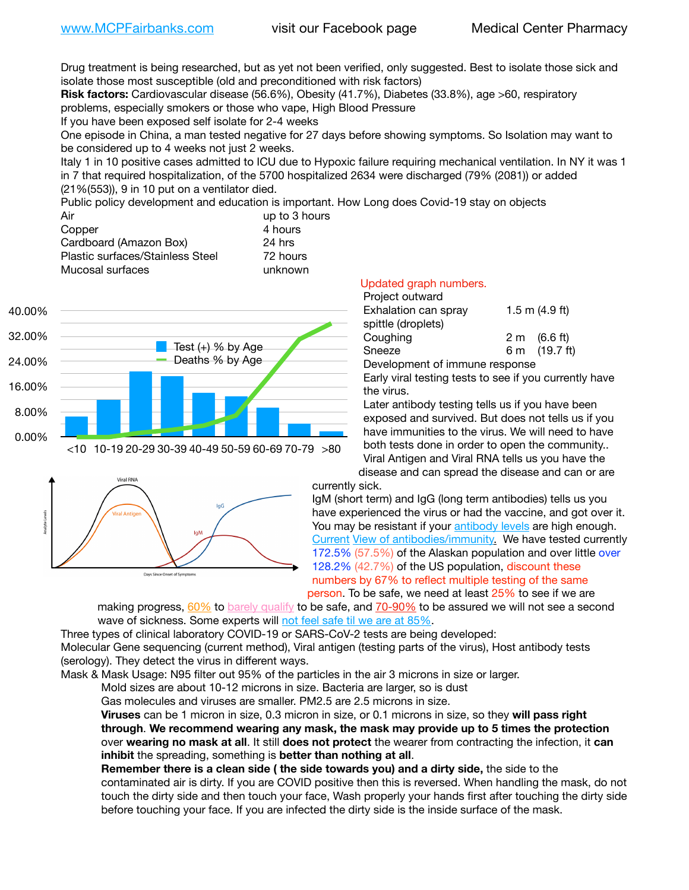Drug treatment is being researched, but as yet not been verified, only suggested. Best to isolate those sick and isolate those most susceptible (old and preconditioned with risk factors)

**Risk factors:** Cardiovascular disease (56.6%), Obesity (41.7%), Diabetes (33.8%), age >60, respiratory problems, especially smokers or those who vape, High Blood Pressure

If you have been exposed self isolate for 2-4 weeks

One episode in China, a man tested negative for 27 days before showing symptoms. So Isolation may want to be considered up to 4 weeks not just 2 weeks.

Italy 1 in 10 positive cases admitted to ICU due to Hypoxic failure requiring mechanical ventilation. In NY it was 1 in 7 that required hospitalization, of the 5700 hospitalized 2634 were discharged (79% (2081)) or added (21%(553)), 9 in 10 put on a ventilator died.

Public policy development and education is important. How Long does Covid-19 stay on objects

| Air                              | up to 3 hours |
|----------------------------------|---------------|
| Copper                           | 4 hours       |
| Cardboard (Amazon Box)           | 24 hrs        |
| Plastic surfaces/Stainless Steel | 72 hours      |
| Mucosal surfaces                 | unknown       |



## Days Since Onset of Symptoms

## Updated graph numbers.

| Project outward      |                        |
|----------------------|------------------------|
| Exhalation can spray | 1.5 m $(4.9$ ft)       |
| spittle (droplets)   |                        |
| Coughing             | $2 \text{ m}$ (6.6 ft) |
| Sneeze               | 6 m (19.7 ft)          |
|                      |                        |

Development of immune response

Early viral testing tests to see if you currently have the virus.

Later antibody testing tells us if you have been exposed and survived. But does not tells us if you have immunities to the virus. We will need to have both tests done in order to open the community.. Viral Antigen and Viral RNA tells us you have the disease and can spread the disease and can or are

currently sick.

IgM (short term) and IgG (long term antibodies) tells us you have experienced the virus or had the vaccine, and got over it. You may be resistant if your [antibody levels](https://www.cdc.gov/coronavirus/2019-ncov/lab/resources/antibody-tests.html) are high enough. [Current](https://l.facebook.com/l.php?u=https://www.itv.com/news/2020-10-26/covid-19-antibody-levels-reduce-over-time-study-finds?fbclid=IwAR3Dapzh1qIH1EIOdUQI2y8THf7jfA4KBCaJz8Qg-8xe1YsrR4nsAHDIXSY&h=AT30nut8pkqp0heVuz5W2rT2WFFm-2Ab52BsJxZZCNlGsX58IpPkuVEPULbIUV_M16MAukx1Kwb657DPXxsgDN1rpOQ4gqBtQsmVYiWpnHPJo2RQsU6CPMd14lgLnQnFWxfVi6zvmw&__tn__=-UK-R&c%5B0%5D=AT1GaRAfR_nGAyqcn7TI1-PpvqOqEKXHnz6TDWvRStMnOSH7boQDvTiwTOc6VId9UES6LKiOmm2m88wKCoolkJyOFvakt2Z1Mw8toYWGGoWW23r0MNVBl7cYJXB_UOvGklNHaNnaNr1_S7NhT3BSykNOBg) [View of antibodies/immunity](https://www.livescience.com/antibodies.html)[.](https://www.itv.com/news/2020-10-26/covid-19-antibody-levels-reduce-over-time-study-finds) We have tested currently 172.5% (57.5%) of the Alaskan population and over little over 128.2% (42.7%) of the US population, discount these numbers by 67% to reflect multiple testing of the same person. To be safe, we need at least 25% to see if we are

making progress, [60%](https://www.jhsph.edu/covid-19/articles/achieving-herd-immunity-with-covid19.html) to [barely qualify](https://www.nature.com/articles/d41586-020-02948-4) to be safe, and [70-90%](https://www.mayoclinic.org/herd-immunity-and-coronavirus/art-20486808) to be assured we will not see a second wave of sickness. Some experts will [not feel safe til we are at 85%](https://www.bannerhealth.com/healthcareblog/teach-me/what-is-herd-immunity).

Three types of clinical laboratory COVID-19 or SARS-CoV-2 tests are being developed: Molecular Gene sequencing (current method), Viral antigen (testing parts of the virus), Host antibody tests (serology). They detect the virus in different ways.

Mask & Mask Usage: N95 filter out 95% of the particles in the air 3 microns in size or larger.

Mold sizes are about 10-12 microns in size. Bacteria are larger, so is dust

Gas molecules and viruses are smaller. PM2.5 are 2.5 microns in size.

**Viruses** can be 1 micron in size, 0.3 micron in size, or 0.1 microns in size, so they **will pass right through**. **We recommend wearing any mask, the mask may provide up to 5 times the protection** over **wearing no mask at all**. It still **does not protect** the wearer from contracting the infection, it **can inhibit** the spreading, something is **better than nothing at all**.

**Remember there is a clean side ( the side towards you) and a dirty side,** the side to the contaminated air is dirty. If you are COVID positive then this is reversed. When handling the mask, do not touch the dirty side and then touch your face, Wash properly your hands first after touching the dirty side before touching your face. If you are infected the dirty side is the inside surface of the mask.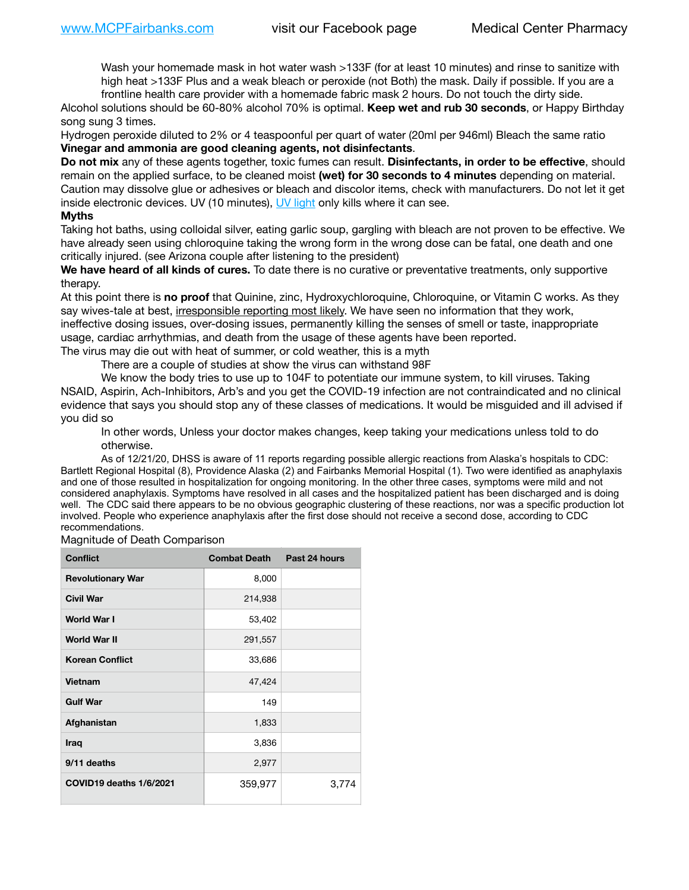Wash your homemade mask in hot water wash >133F (for at least 10 minutes) and rinse to sanitize with high heat >133F Plus and a weak bleach or peroxide (not Both) the mask. Daily if possible. If you are a frontline health care provider with a homemade fabric mask 2 hours. Do not touch the dirty side.

Alcohol solutions should be 60-80% alcohol 70% is optimal. **Keep wet and rub 30 seconds**, or Happy Birthday song sung 3 times.

Hydrogen peroxide diluted to 2% or 4 teaspoonful per quart of water (20ml per 946ml) Bleach the same ratio **Vinegar and ammonia are good cleaning agents, not disinfectants**.

**Do not mix** any of these agents together, toxic fumes can result. **Disinfectants, in order to be effective**, should remain on the applied surface, to be cleaned moist **(wet) for 30 seconds to 4 minutes** depending on material. Caution may dissolve glue or adhesives or bleach and discolor items, check with manufacturers. Do not let it get inside electronic devices. UV (10 minutes), [UV light](http://www.docreviews.me/best-uv-boxes-2020/?fbclid=IwAR3bvFtXB48OoBBSvYvTEnKuHNPbipxM6jUo82QUSw9wckxjC7wwRZWabGw) only kills where it can see.

## **Myths**

Taking hot baths, using colloidal silver, eating garlic soup, gargling with bleach are not proven to be effective. We have already seen using chloroquine taking the wrong form in the wrong dose can be fatal, one death and one critically injured. (see Arizona couple after listening to the president)

**We have heard of all kinds of cures.** To date there is no curative or preventative treatments, only supportive therapy.

At this point there is **no proof** that Quinine, zinc, Hydroxychloroquine, Chloroquine, or Vitamin C works. As they say wives-tale at best, irresponsible reporting most likely. We have seen no information that they work, ineffective dosing issues, over-dosing issues, permanently killing the senses of smell or taste, inappropriate usage, cardiac arrhythmias, and death from the usage of these agents have been reported.

The virus may die out with heat of summer, or cold weather, this is a myth

There are a couple of studies at show the virus can withstand 98F

We know the body tries to use up to 104F to potentiate our immune system, to kill viruses. Taking NSAID, Aspirin, Ach-Inhibitors, Arb's and you get the COVID-19 infection are not contraindicated and no clinical evidence that says you should stop any of these classes of medications. It would be misguided and ill advised if you did so

In other words, Unless your doctor makes changes, keep taking your medications unless told to do otherwise.

As of 12/21/20, DHSS is aware of 11 reports regarding possible allergic reactions from Alaska's hospitals to CDC: Bartlett Regional Hospital (8), Providence Alaska (2) and Fairbanks Memorial Hospital (1). Two were identified as anaphylaxis and one of those resulted in hospitalization for ongoing monitoring. In the other three cases, symptoms were mild and not considered anaphylaxis. Symptoms have resolved in all cases and the hospitalized patient has been discharged and is doing well. The CDC said there appears to be no obvious geographic clustering of these reactions, nor was a specific production lot involved. People who experience anaphylaxis after the first dose should not receive a second dose, according to CDC recommendations.

## Magnitude of Death Comparison

| <b>Conflict</b>          | <b>Combat Death</b> | Past 24 hours |
|--------------------------|---------------------|---------------|
| <b>Revolutionary War</b> | 8,000               |               |
| <b>Civil War</b>         | 214,938             |               |
| World War I              | 53,402              |               |
| <b>World War II</b>      | 291,557             |               |
| <b>Korean Conflict</b>   | 33,686              |               |
| Vietnam                  | 47,424              |               |
| <b>Gulf War</b>          | 149                 |               |
| Afghanistan              | 1,833               |               |
| Iraq                     | 3,836               |               |
| 9/11 deaths              | 2,977               |               |
| COVID19 deaths 1/6/2021  | 359,977             | 3,774         |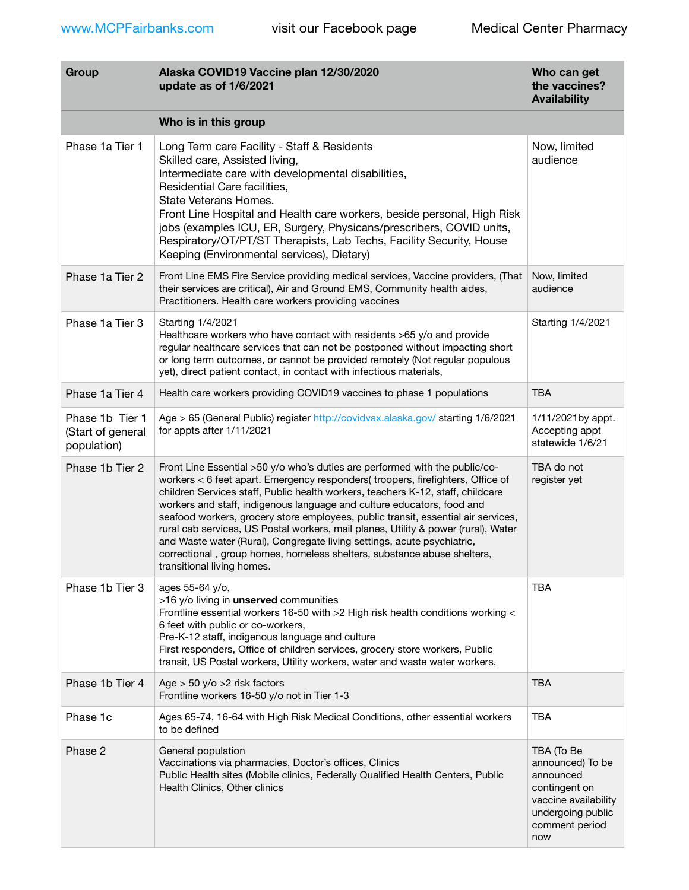| Group                                               | Alaska COVID19 Vaccine plan 12/30/2020<br>update as of 1/6/2021                                                                                                                                                                                                                                                                                                                                                                                                                                                                                                                                                                                                                           | Who can get<br>the vaccines?<br><b>Availability</b>                                                                                |
|-----------------------------------------------------|-------------------------------------------------------------------------------------------------------------------------------------------------------------------------------------------------------------------------------------------------------------------------------------------------------------------------------------------------------------------------------------------------------------------------------------------------------------------------------------------------------------------------------------------------------------------------------------------------------------------------------------------------------------------------------------------|------------------------------------------------------------------------------------------------------------------------------------|
|                                                     | Who is in this group                                                                                                                                                                                                                                                                                                                                                                                                                                                                                                                                                                                                                                                                      |                                                                                                                                    |
| Phase 1a Tier 1                                     | Long Term care Facility - Staff & Residents<br>Skilled care, Assisted living,<br>Intermediate care with developmental disabilities,<br>Residential Care facilities,<br>State Veterans Homes.<br>Front Line Hospital and Health care workers, beside personal, High Risk<br>jobs (examples ICU, ER, Surgery, Physicans/prescribers, COVID units,<br>Respiratory/OT/PT/ST Therapists, Lab Techs, Facility Security, House<br>Keeping (Environmental services), Dietary)                                                                                                                                                                                                                     | Now, limited<br>audience                                                                                                           |
| Phase 1a Tier 2                                     | Front Line EMS Fire Service providing medical services, Vaccine providers, (That<br>their services are critical), Air and Ground EMS, Community health aides,<br>Practitioners. Health care workers providing vaccines                                                                                                                                                                                                                                                                                                                                                                                                                                                                    | Now, limited<br>audience                                                                                                           |
| Phase 1a Tier 3                                     | Starting 1/4/2021<br>Healthcare workers who have contact with residents >65 y/o and provide<br>regular healthcare services that can not be postponed without impacting short<br>or long term outcomes, or cannot be provided remotely (Not regular populous<br>yet), direct patient contact, in contact with infectious materials,                                                                                                                                                                                                                                                                                                                                                        | Starting 1/4/2021                                                                                                                  |
| Phase 1a Tier 4                                     | Health care workers providing COVID19 vaccines to phase 1 populations                                                                                                                                                                                                                                                                                                                                                                                                                                                                                                                                                                                                                     | <b>TBA</b>                                                                                                                         |
| Phase 1b Tier 1<br>(Start of general<br>population) | Age > 65 (General Public) register http://covidvax.alaska.gov/ starting 1/6/2021<br>for appts after 1/11/2021                                                                                                                                                                                                                                                                                                                                                                                                                                                                                                                                                                             | 1/11/2021by appt.<br>Accepting appt<br>statewide 1/6/21                                                                            |
| Phase 1b Tier 2                                     | Front Line Essential >50 y/o who's duties are performed with the public/co-<br>workers < 6 feet apart. Emergency responders(troopers, firefighters, Office of<br>children Services staff, Public health workers, teachers K-12, staff, childcare<br>workers and staff, indigenous language and culture educators, food and<br>seafood workers, grocery store employees, public transit, essential air services,<br>rural cab services, US Postal workers, mail planes, Utility & power (rural), Water<br>and Waste water (Rural), Congregate living settings, acute psychiatric,<br>correctional, group homes, homeless shelters, substance abuse shelters,<br>transitional living homes. | TBA do not<br>register yet                                                                                                         |
| Phase 1b Tier 3                                     | ages 55-64 y/o,<br>>16 y/o living in unserved communities<br>Frontline essential workers 16-50 with >2 High risk health conditions working <<br>6 feet with public or co-workers,<br>Pre-K-12 staff, indigenous language and culture<br>First responders, Office of children services, grocery store workers, Public<br>transit, US Postal workers, Utility workers, water and waste water workers.                                                                                                                                                                                                                                                                                       | <b>TBA</b>                                                                                                                         |
| Phase 1b Tier 4                                     | Age $>$ 50 y/o $>$ 2 risk factors<br>Frontline workers 16-50 y/o not in Tier 1-3                                                                                                                                                                                                                                                                                                                                                                                                                                                                                                                                                                                                          | <b>TBA</b>                                                                                                                         |
| Phase 1c                                            | Ages 65-74, 16-64 with High Risk Medical Conditions, other essential workers<br>to be defined                                                                                                                                                                                                                                                                                                                                                                                                                                                                                                                                                                                             | <b>TBA</b>                                                                                                                         |
| Phase 2                                             | General population<br>Vaccinations via pharmacies, Doctor's offices, Clinics<br>Public Health sites (Mobile clinics, Federally Qualified Health Centers, Public<br>Health Clinics, Other clinics                                                                                                                                                                                                                                                                                                                                                                                                                                                                                          | TBA (To Be<br>announced) To be<br>announced<br>contingent on<br>vaccine availability<br>undergoing public<br>comment period<br>now |